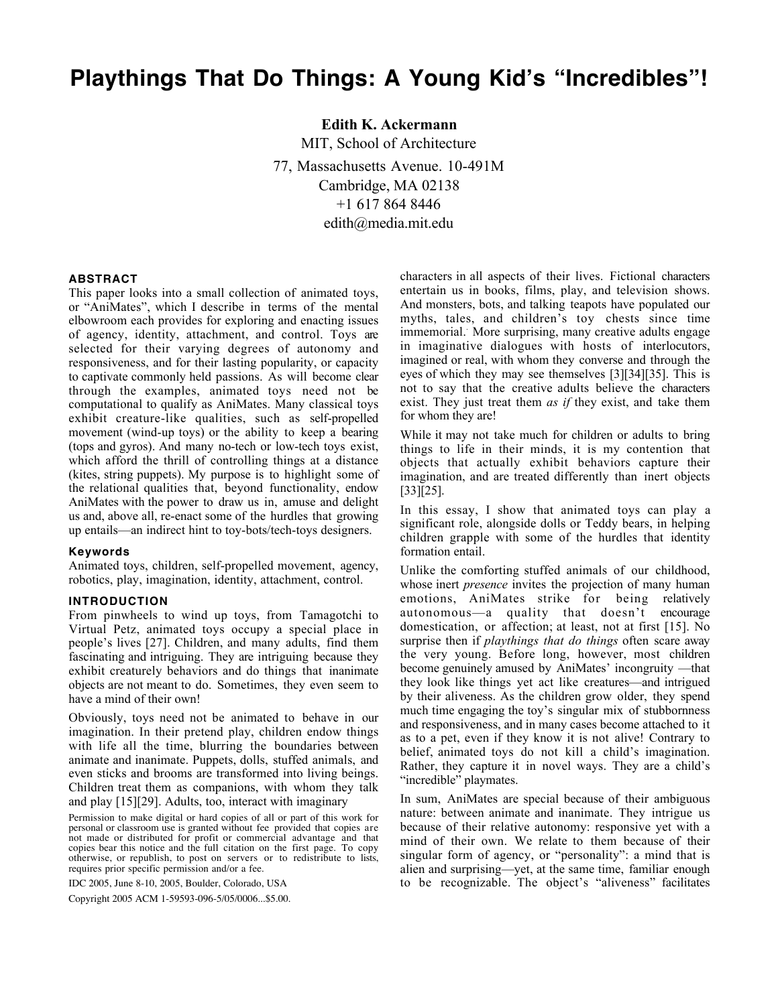# **Playthings That Do Things: A Young Kid's "Incredibles"!**

Edith K. Ackermann

MIT, School of Architecture 77, Massachusetts Avenue. 10-491M Cambridge, MA 02138 +1 617 864 8446 edith@media.mit.edu

#### **ABSTRACT**

This paper looks into a small collection of animated toys, or "AniMates", which I describe in terms of the mental elbowroom each provides for exploring and enacting issues of agency, identity, attachment, and control. Toys are selected for their varying degrees of autonomy and responsiveness, and for their lasting popularity, or capacity to captivate commonly held passions. As will become clear through the examples, animated toys need not be computational to qualify as AniMates. Many classical toys exhibit creature-like qualities, such as self-propelled movement (wind-up toys) or the ability to keep a bearing (tops and gyros). And many no-tech or low-tech toys exist, which afford the thrill of controlling things at a distance (kites, string puppets). My purpose is to highlight some of the relational qualities that, beyond functionality, endow AniMates with the power to draw us in, amuse and delight us and, above all, re-enact some of the hurdles that growing up entails—an indirect hint to toy-bots/tech-toys designers.

#### **Keywords**

Animated toys, children, self-propelled movement, agency, robotics, play, imagination, identity, attachment, control.

#### **INTRODUCTION**

From pinwheels to wind up toys, from Tamagotchi to Virtual Petz, animated toys occupy a special place in people's lives [27]. Children, and many adults, find them fascinating and intriguing. They are intriguing because they exhibit creaturely behaviors and do things that inanimate objects are not meant to do. Sometimes, they even seem to have a mind of their own!

Obviously, toys need not be animated to behave in our imagination. In their pretend play, children endow things with life all the time, blurring the boundaries between animate and inanimate. Puppets, dolls, stuffed animals, and even sticks and brooms are transformed into living beings. Children treat them as companions, with whom they talk and play [15][29]. Adults, too, interact with imaginary

Permission to make digital or hard copies of all or part of this work for personal or classroom use is granted without fee provided that copies are not made or distributed for profit or commercial advantage and that copies bear this notice and the full citation on the first page. To copy otherwise, or republish, to post on servers or to redistribute to lists, requires prior specific permission and/or a fee.

IDC 2005, June 8-10, 2005, Boulder, Colorado, USA

Copyright 2005 ACM 1-59593-096-5/05/0006...\$5.00.

characters in all aspects of their lives. Fictional characters entertain us in books, films, play, and television shows. And monsters, bots, and talking teapots have populated our myths, tales, and children's toy chests since time immemorial. More surprising, many creative adults engage in imaginative dialogues with hosts of interlocutors, imagined or real, with whom they converse and through the eyes of which they may see themselves [3][34][35]. This is not to say that the creative adults believe the characters exist. They just treat them *as if* they exist, and take them for whom they are!

While it may not take much for children or adults to bring things to life in their minds, it is my contention that objects that actually exhibit behaviors capture their imagination, and are treated differently than inert objects [33][25].

In this essay, I show that animated toys can play a significant role, alongside dolls or Teddy bears, in helping children grapple with some of the hurdles that identity formation entail.

Unlike the comforting stuffed animals of our childhood, whose inert *presence* invites the projection of many human emotions, AniMates strike for being relatively autonomous—a quality that doesn't encourage domestication, or affection; at least, not at first [15]. No surprise then if *playthings that do things* often scare away the very young. Before long, however, most children become genuinely amused by AniMates' incongruity —that they look like things yet act like creatures—and intrigued by their aliveness. As the children grow older, they spend much time engaging the toy's singular mix of stubbornness and responsiveness, and in many cases become attached to it as to a pet, even if they know it is not alive! Contrary to belief, animated toys do not kill a child's imagination. Rather, they capture it in novel ways. They are a child's "incredible" playmates.

In sum, AniMates are special because of their ambiguous nature: between animate and inanimate. They intrigue us because of their relative autonomy: responsive yet with a mind of their own. We relate to them because of their singular form of agency, or "personality": a mind that is alien and surprising—yet, at the same time, familiar enough to be recognizable. The object's "aliveness" facilitates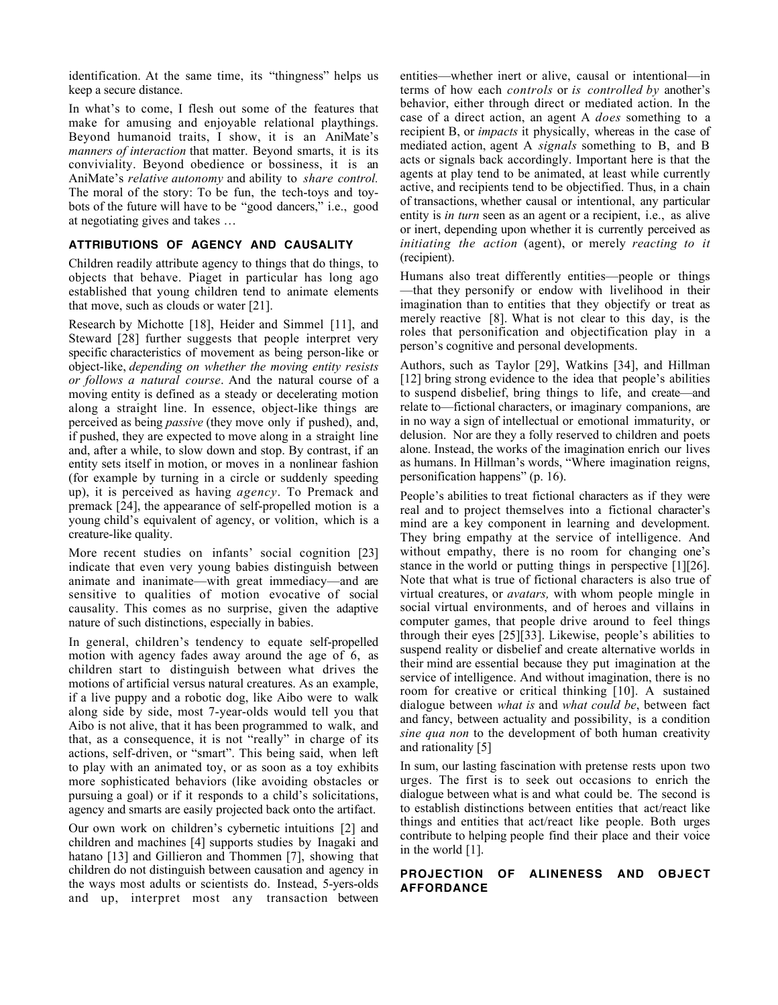identification. At the same time, its "thingness" helps us keep a secure distance.

In what's to come, I flesh out some of the features that make for amusing and enjoyable relational playthings. Beyond humanoid traits, I show, it is an AniMate's *manners of interaction* that matter. Beyond smarts, it is its conviviality. Beyond obedience or bossiness, it is an AniMate's *relative autonomy* and ability to *share control.* The moral of the story: To be fun, the tech-toys and toybots of the future will have to be "good dancers," i.e., good at negotiating gives and takes …

## **ATTRIBUTIONS OF AGENCY AND CAUSALITY**

Children readily attribute agency to things that do things, to objects that behave. Piaget in particular has long ago established that young children tend to animate elements that move, such as clouds or water [21].

Research by Michotte [18], Heider and Simmel [11], and Steward [28] further suggests that people interpret very specific characteristics of movement as being person-like or object-like, *depending on whether the moving entity resists or follows a natural course*. And the natural course of a moving entity is defined as a steady or decelerating motion along a straight line. In essence, object-like things are perceived as being *passive* (they move only if pushed), and, if pushed, they are expected to move along in a straight line and, after a while, to slow down and stop. By contrast, if an entity sets itself in motion, or moves in a nonlinear fashion (for example by turning in a circle or suddenly speeding up), it is perceived as having *agency*. To Premack and premack [24], the appearance of self-propelled motion is a young child's equivalent of agency, or volition, which is a creature-like quality.

More recent studies on infants' social cognition [23] indicate that even very young babies distinguish between animate and inanimate—with great immediacy—and are sensitive to qualities of motion evocative of social causality. This comes as no surprise, given the adaptive nature of such distinctions, especially in babies.

In general, children's tendency to equate self-propelled motion with agency fades away around the age of 6, as children start to distinguish between what drives the motions of artificial versus natural creatures. As an example, if a live puppy and a robotic dog, like Aibo were to walk along side by side, most 7-year-olds would tell you that Aibo is not alive, that it has been programmed to walk, and that, as a consequence, it is not "really" in charge of its actions, self-driven, or "smart". This being said, when left to play with an animated toy, or as soon as a toy exhibits more sophisticated behaviors (like avoiding obstacles or pursuing a goal) or if it responds to a child's solicitations, agency and smarts are easily projected back onto the artifact.

Our own work on children's cybernetic intuitions [2] and children and machines [4] supports studies by Inagaki and hatano [13] and Gillieron and Thommen [7], showing that children do not distinguish between causation and agency in the ways most adults or scientists do. Instead, 5-yers-olds and up, interpret most any transaction between entities—whether inert or alive, causal or intentional—in terms of how each *controls* or *is controlled by* another's behavior, either through direct or mediated action. In the case of a direct action, an agent A *does* something to a recipient B, or *impacts* it physically, whereas in the case of mediated action, agent A *signals* something to B, and B acts or signals back accordingly. Important here is that the agents at play tend to be animated, at least while currently active, and recipients tend to be objectified. Thus, in a chain of transactions, whether causal or intentional, any particular entity is *in turn* seen as an agent or a recipient, i.e., as alive or inert, depending upon whether it is currently perceived as *initiating the action* (agent), or merely *reacting to it* (recipient).

Humans also treat differently entities—people or things —that they personify or endow with livelihood in their imagination than to entities that they objectify or treat as merely reactive [8]. What is not clear to this day, is the roles that personification and objectification play in a person's cognitive and personal developments.

Authors, such as Taylor [29], Watkins [34], and Hillman [12] bring strong evidence to the idea that people's abilities to suspend disbelief, bring things to life, and create—and relate to—fictional characters, or imaginary companions, are in no way a sign of intellectual or emotional immaturity, or delusion. Nor are they a folly reserved to children and poets alone. Instead, the works of the imagination enrich our lives as humans. In Hillman's words, "Where imagination reigns, personification happens" (p. 16).

People's abilities to treat fictional characters as if they were real and to project themselves into a fictional character's mind are a key component in learning and development. They bring empathy at the service of intelligence. And without empathy, there is no room for changing one's stance in the world or putting things in perspective [1][26]. Note that what is true of fictional characters is also true of virtual creatures, or *avatars,* with whom people mingle in social virtual environments, and of heroes and villains in computer games, that people drive around to feel things through their eyes [25][33]. Likewise, people's abilities to suspend reality or disbelief and create alternative worlds in their mind are essential because they put imagination at the service of intelligence. And without imagination, there is no room for creative or critical thinking [10]. A sustained dialogue between *what is* and *what could be*, between fact and fancy, between actuality and possibility, is a condition *sine qua non* to the development of both human creativity and rationality [5]

In sum, our lasting fascination with pretense rests upon two urges. The first is to seek out occasions to enrich the dialogue between what is and what could be. The second is to establish distinctions between entities that act/react like things and entities that act/react like people. Both urges contribute to helping people find their place and their voice in the world [1].

#### **PROJECTION OF ALINENESS AND OBJECT AFFORDANCE**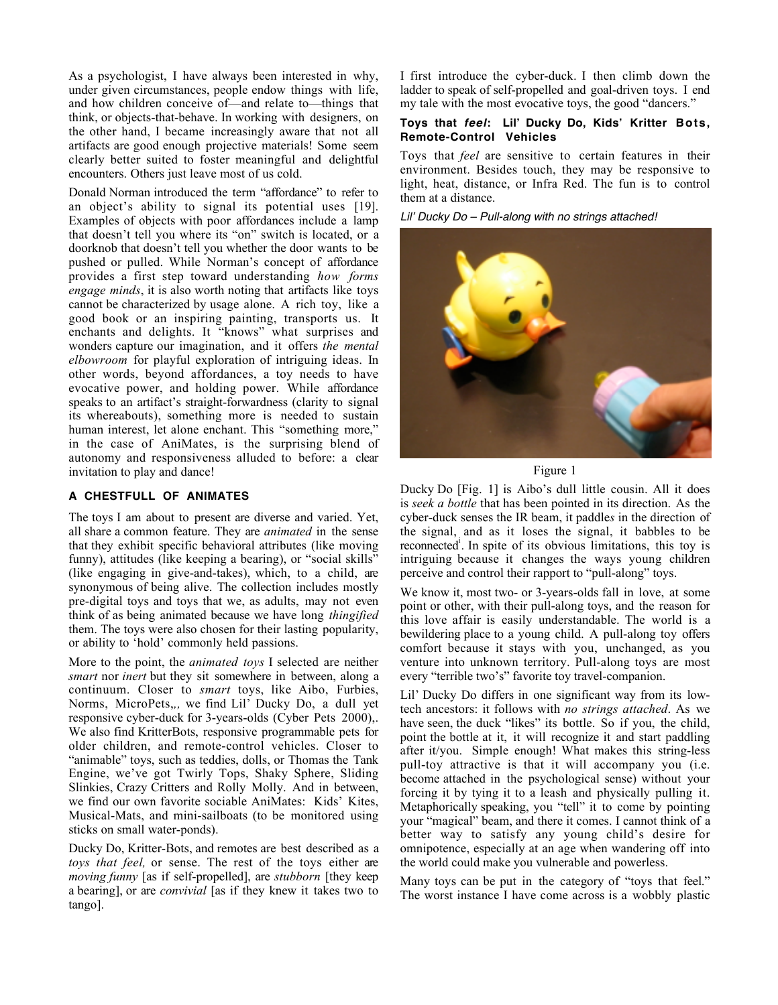As a psychologist, I have always been interested in why, under given circumstances, people endow things with life, and how children conceive of—and relate to—things that think, or objects-that-behave. In working with designers, on the other hand, I became increasingly aware that not all artifacts are good enough projective materials! Some seem clearly better suited to foster meaningful and delightful encounters. Others just leave most of us cold.

Donald Norman introduced the term "affordance" to refer to an object's ability to signal its potential uses [19]. Examples of objects with poor affordances include a lamp that doesn't tell you where its "on" switch is located, or a doorknob that doesn't tell you whether the door wants to be pushed or pulled. While Norman's concept of affordance provides a first step toward understanding *how forms engage minds*, it is also worth noting that artifacts like toys cannot be characterized by usage alone. A rich toy, like a good book or an inspiring painting, transports us. It enchants and delights. It "knows" what surprises and wonders capture our imagination, and it offers *the mental elbowroom* for playful exploration of intriguing ideas. In other words, beyond affordances, a toy needs to have evocative power, and holding power. While affordance speaks to an artifact's straight-forwardness (clarity to signal its whereabouts), something more is needed to sustain human interest, let alone enchant. This "something more," in the case of AniMates, is the surprising blend of autonomy and responsiveness alluded to before: a clear invitation to play and dance!

## **A CHESTFULL OF ANIMATES**

The toys I am about to present are diverse and varied. Yet, all share a common feature. They are *animated* in the sense that they exhibit specific behavioral attributes (like moving funny), attitudes (like keeping a bearing), or "social skills" (like engaging in give-and-takes), which, to a child, are synonymous of being alive. The collection includes mostly pre-digital toys and toys that we, as adults, may not even think of as being animated because we have long *thingified* them. The toys were also chosen for their lasting popularity, or ability to 'hold' commonly held passions.

More to the point, the *animated toys* I selected are neither *smart* nor *inert* but they sit somewhere in between, along a continuum. Closer to *smart* toys, like Aibo, Furbies, Norms, MicroPets,*,,* we find Lil' Ducky Do, a dull yet responsive cyber-duck for 3-years-olds (Cyber Pets 2000),. We also find KritterBots, responsive programmable pets for older children, and remote-control vehicles. Closer to "animable" toys, such as teddies, dolls, or Thomas the Tank Engine, we've got Twirly Tops, Shaky Sphere, Sliding Slinkies, Crazy Critters and Rolly Molly. And in between, we find our own favorite sociable AniMates: Kids' Kites, Musical-Mats, and mini-sailboats (to be monitored using sticks on small water-ponds).

Ducky Do, Kritter-Bots, and remotes are best described as a *toys that feel,* or sense. The rest of the toys either are *moving funny* [as if self-propelled], are *stubborn* [they keep a bearing], or are *convivial* [as if they knew it takes two to tango].

I first introduce the cyber-duck. I then climb down the ladder to speak of self-propelled and goal-driven toys. I end my tale with the most evocative toys, the good "dancers."

# **Toys that feel: Lil' Ducky Do, Kids' Kritter Bots, Remote-Control Vehicles**

Toys that *feel* are sensitive to certain features in their environment. Besides touch, they may be responsive to light, heat, distance, or Infra Red. The fun is to control them at a distance.





Figure 1

Ducky Do [Fig. 1] is Aibo's dull little cousin. All it does is *seek a bottle* that has been pointed in its direction. As the cyber-duck senses the IR beam, it paddle*s* in the direction of the signal, and as it loses the signal, it babbles to be reconnected<sup>i</sup>. In spite of its obvious limitations, this toy is intriguing because it changes the ways young children perceive and control their rapport to "pull-along" toys.

We know it, most two- or 3-years-olds fall in love, at some point or other, with their pull-along toys, and the reason for this love affair is easily understandable. The world is a bewildering place to a young child. A pull-along toy offers comfort because it stays with you, unchanged, as you venture into unknown territory. Pull-along toys are most every "terrible two's" favorite toy travel-companion.

Lil' Ducky Do differs in one significant way from its lowtech ancestors: it follows with *no strings attached*. As we have seen, the duck "likes" its bottle. So if you, the child, point the bottle at it, it will recognize it and start paddling after it/you. Simple enough! What makes this string-less pull-toy attractive is that it will accompany you (i.e. become attached in the psychological sense) without your forcing it by tying it to a leash and physically pulling it. Metaphorically speaking, you "tell" it to come by pointing your "magical" beam, and there it comes. I cannot think of a better way to satisfy any young child's desire for omnipotence, especially at an age when wandering off into the world could make you vulnerable and powerless.

Many toys can be put in the category of "toys that feel." The worst instance I have come across is a wobbly plastic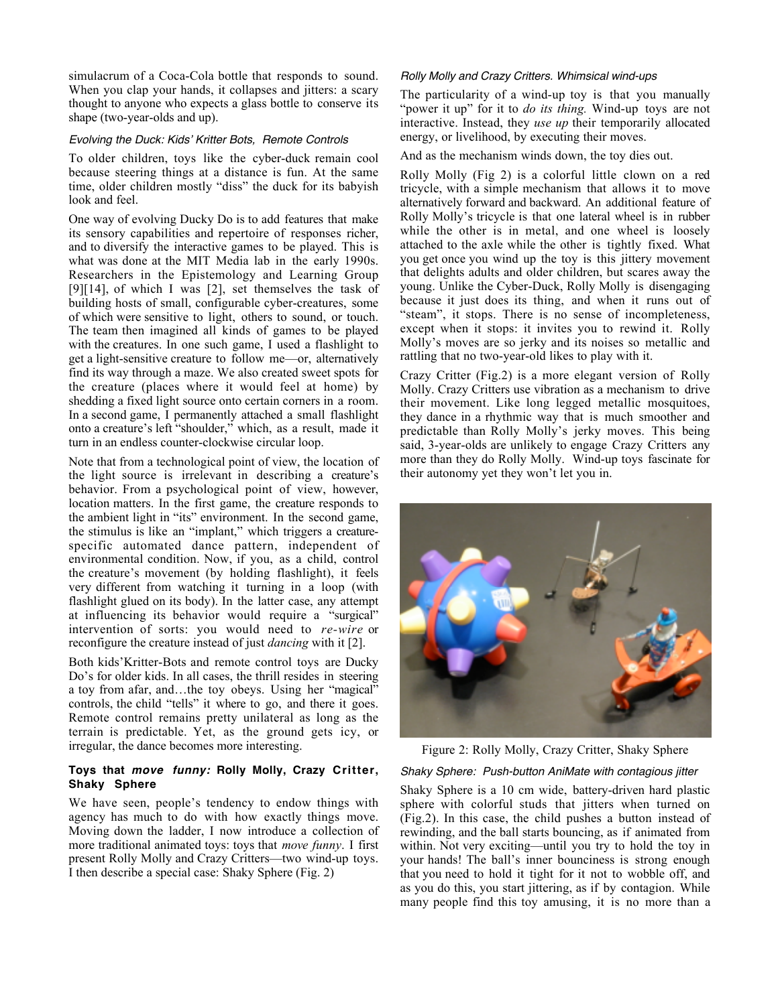simulacrum of a Coca-Cola bottle that responds to sound. When you clap your hands, it collapses and jitters: a scary thought to anyone who expects a glass bottle to conserve its shape (two-year-olds and up).

### Evolving the Duck: Kids' Kritter Bots, Remote Controls

To older children, toys like the cyber-duck remain cool because steering things at a distance is fun. At the same time, older children mostly "diss" the duck for its babyish look and feel.

One way of evolving Ducky Do is to add features that make its sensory capabilities and repertoire of responses richer, and to diversify the interactive games to be played. This is what was done at the MIT Media lab in the early 1990s. Researchers in the Epistemology and Learning Group [9][14], of which I was [2], set themselves the task of building hosts of small, configurable cyber-creatures, some of which were sensitive to light, others to sound, or touch. The team then imagined all kinds of games to be played with the creatures. In one such game, I used a flashlight to get a light-sensitive creature to follow me—or, alternatively find its way through a maze. We also created sweet spots for the creature (places where it would feel at home) by shedding a fixed light source onto certain corners in a room. In a second game, I permanently attached a small flashlight onto a creature's left "shoulder," which, as a result, made it turn in an endless counter-clockwise circular loop.

Note that from a technological point of view, the location of the light source is irrelevant in describing a creature's behavior. From a psychological point of view, however, location matters. In the first game, the creature responds to the ambient light in "its" environment. In the second game, the stimulus is like an "implant," which triggers a creaturespecific automated dance pattern, independent of environmental condition. Now, if you, as a child, control the creature's movement (by holding flashlight), it feels very different from watching it turning in a loop (with flashlight glued on its body). In the latter case, any attempt at influencing its behavior would require a "surgical" intervention of sorts: you would need to *re-wire* or reconfigure the creature instead of just *dancing* with it [2].

Both kids'Kritter-Bots and remote control toys are Ducky Do's for older kids. In all cases, the thrill resides in steering a toy from afar, and…the toy obeys. Using her "magical" controls, the child "tells" it where to go, and there it goes. Remote control remains pretty unilateral as long as the terrain is predictable. Yet, as the ground gets icy, or irregular, the dance becomes more interesting.

## **Toys that move funny: Rolly Molly, Crazy Critter, Shaky Sphere**

We have seen, people's tendency to endow things with agency has much to do with how exactly things move. Moving down the ladder, I now introduce a collection of more traditional animated toys: toys that *move funny*. I first present Rolly Molly and Crazy Critters—two wind-up toys. I then describe a special case: Shaky Sphere (Fig. 2)

#### Rolly Molly and Crazy Critters. Whimsical wind-ups

The particularity of a wind-up toy is that you manually "power it up" for it to *do its thing.* Wind-up toys are not interactive. Instead, they *use up* their temporarily allocated energy, or livelihood, by executing their moves.

And as the mechanism winds down, the toy dies out.

Rolly Molly (Fig 2) is a colorful little clown on a red tricycle, with a simple mechanism that allows it to move alternatively forward and backward. An additional feature of Rolly Molly's tricycle is that one lateral wheel is in rubber while the other is in metal, and one wheel is loosely attached to the axle while the other is tightly fixed. What you get once you wind up the toy is this jittery movement that delights adults and older children, but scares away the young. Unlike the Cyber-Duck, Rolly Molly is disengaging because it just does its thing, and when it runs out of "steam", it stops. There is no sense of incompleteness, except when it stops: it invites you to rewind it. Rolly Molly's moves are so jerky and its noises so metallic and rattling that no two-year-old likes to play with it.

Crazy Critter (Fig.2) is a more elegant version of Rolly Molly. Crazy Critters use vibration as a mechanism to drive their movement. Like long legged metallic mosquitoes, they dance in a rhythmic way that is much smoother and predictable than Rolly Molly's jerky moves. This being said, 3-year-olds are unlikely to engage Crazy Critters any more than they do Rolly Molly. Wind-up toys fascinate for their autonomy yet they won't let you in.



Figure 2: Rolly Molly, Crazy Critter, Shaky Sphere

Shaky Sphere: Push-button AniMate with contagious jitter

Shaky Sphere is a 10 cm wide, battery-driven hard plastic sphere with colorful studs that jitters when turned on (Fig.2). In this case, the child pushes a button instead of rewinding, and the ball starts bouncing, as if animated from within. Not very exciting—until you try to hold the toy in your hands! The ball's inner bounciness is strong enough that you need to hold it tight for it not to wobble off, and as you do this, you start jittering, as if by contagion. While many people find this toy amusing, it is no more than a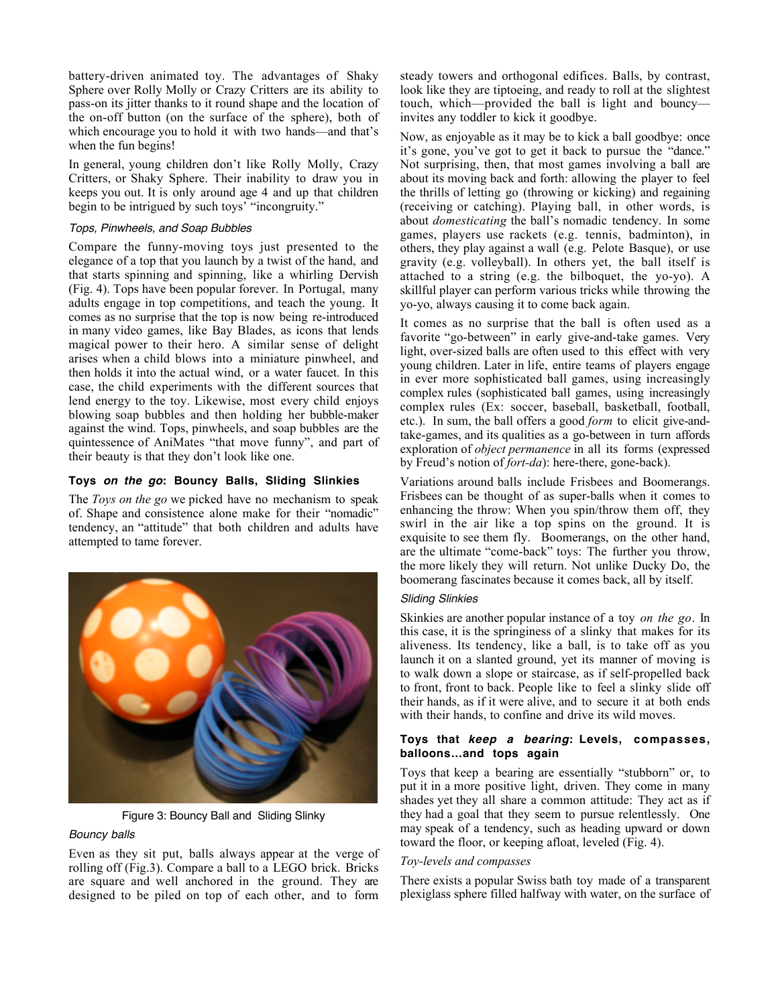battery-driven animated toy. The advantages of Shaky Sphere over Rolly Molly or Crazy Critters are its ability to pass-on its jitter thanks to it round shape and the location of the on-off button (on the surface of the sphere), both of which encourage you to hold it with two hands—and that's when the fun begins!

In general, young children don't like Rolly Molly, Crazy Critters, or Shaky Sphere. Their inability to draw you in keeps you out. It is only around age 4 and up that children begin to be intrigued by such toys' "incongruity."

## Tops, Pinwheels, and Soap Bubbles

Compare the funny-moving toys just presented to the elegance of a top that you launch by a twist of the hand, and that starts spinning and spinning, like a whirling Dervish (Fig. 4). Tops have been popular forever. In Portugal, many adults engage in top competitions, and teach the young. It comes as no surprise that the top is now being re-introduced in many video games, like Bay Blades, as icons that lends magical power to their hero. A similar sense of delight arises when a child blows into a miniature pinwheel, and then holds it into the actual wind, or a water faucet. In this case, the child experiments with the different sources that lend energy to the toy. Likewise, most every child enjoys blowing soap bubbles and then holding her bubble-maker against the wind. Tops, pinwheels, and soap bubbles are the quintessence of AniMates "that move funny", and part of their beauty is that they don't look like one.

# **Toys on the go: Bouncy Balls, Sliding Slinkies**

The *Toys on the go* we picked have no mechanism to speak of. Shape and consistence alone make for their "nomadic" tendency, an "attitude" that both children and adults have attempted to tame forever.



Figure 3: Bouncy Ball and Sliding Slinky

#### Bouncy balls

Even as they sit put, balls always appear at the verge of rolling off (Fig.3). Compare a ball to a LEGO brick. Bricks are square and well anchored in the ground. They are designed to be piled on top of each other, and to form steady towers and orthogonal edifices. Balls, by contrast, look like they are tiptoeing, and ready to roll at the slightest touch, which—provided the ball is light and bouncy invites any toddler to kick it goodbye.

Now, as enjoyable as it may be to kick a ball goodbye: once it's gone, you've got to get it back to pursue the "dance." Not surprising, then, that most games involving a ball are about its moving back and forth: allowing the player to feel the thrills of letting go (throwing or kicking) and regaining (receiving or catching). Playing ball, in other words, is about *domesticating* the ball's nomadic tendency. In some games, players use rackets (e.g. tennis, badminton), in others, they play against a wall (e.g. Pelote Basque), or use gravity (e.g. volleyball). In others yet, the ball itself is attached to a string (e.g. the bilboquet, the yo-yo). A skillful player can perform various tricks while throwing the yo-yo, always causing it to come back again.

It comes as no surprise that the ball is often used as a favorite "go-between" in early give-and-take games. Very light, over-sized balls are often used to this effect with very young children. Later in life, entire teams of players engage in ever more sophisticated ball games, using increasingly complex rules (sophisticated ball games, using increasingly complex rules (Ex: soccer, baseball, basketball, football, etc.). In sum, the ball offers a good *form* to elicit give-andtake-games, and its qualities as a go-between in turn affords exploration of *object permanence* in all its forms (expressed by Freud's notion of *fort-da*): here-there, gone-back).

Variations around balls include Frisbees and Boomerangs. Frisbees can be thought of as super-balls when it comes to enhancing the throw: When you spin/throw them off, they swirl in the air like a top spins on the ground. It is exquisite to see them fly. Boomerangs, on the other hand, are the ultimate "come-back" toys: The further you throw, the more likely they will return. Not unlike Ducky Do, the boomerang fascinates because it comes back, all by itself.

#### Sliding Slinkies

Skinkies are another popular instance of a toy *on the go*. In this case, it is the springiness of a slinky that makes for its aliveness. Its tendency, like a ball, is to take off as you launch it on a slanted ground, yet its manner of moving is to walk down a slope or staircase, as if self-propelled back to front, front to back. People like to feel a slinky slide off their hands, as if it were alive, and to secure it at both ends with their hands, to confine and drive its wild moves.

## **Toys that keep a bearing: Levels, compasses, balloons…and tops again**

Toys that keep a bearing are essentially "stubborn" or, to put it in a more positive light, driven. They come in many shades yet they all share a common attitude: They act as if they had a goal that they seem to pursue relentlessly. One may speak of a tendency, such as heading upward or down toward the floor, or keeping afloat, leveled (Fig. 4).

#### *Toy-levels and compasses*

There exists a popular Swiss bath toy made of a transparent plexiglass sphere filled halfway with water, on the surface of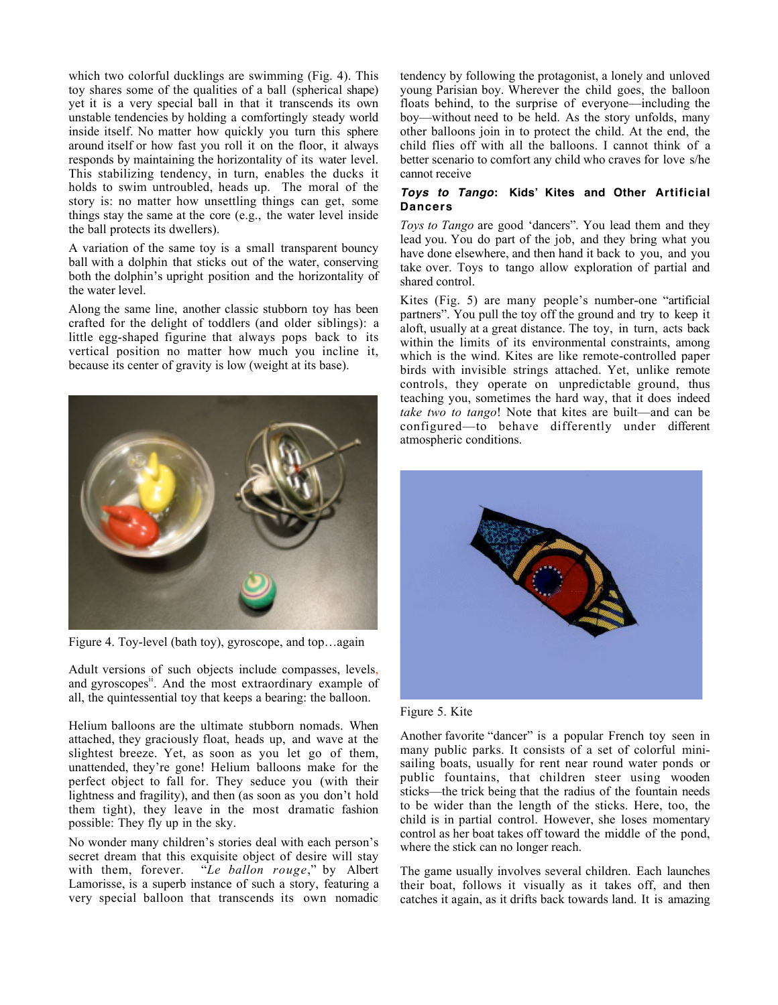which two colorful ducklings are swimming (Fig. 4). This toy shares some of the qualities of a ball (spherical shape) yet it is a very special ball in that it transcends its own unstable tendencies by holding a comfortingly steady world inside itself. No matter how quickly you turn this sphere around itself or how fast you roll it on the floor, it always responds by maintaining the horizontality of its water level. This stabilizing tendency, in turn, enables the ducks it holds to swim untroubled, heads up. The moral of the story is: no matter how unsettling things can get, some things stay the same at the core (e.g., the water level inside the ball protects its dwellers).

A variation of the same toy is a small transparent bouncy ball with a dolphin that sticks out of the water, conserving both the dolphin's upright position and the horizontality of the water level.

Along the same line, another classic stubborn toy has been crafted for the delight of toddlers (and older siblings): a little egg-shaped figurine that always pops back to its vertical position no matter how much you incline it, because its center of gravity is low (weight at its base).



Figure 4. Toy-level (bath toy), gyroscope, and top…again

Adult versions of such objects include compasses, levels, and gyroscopes<sup>ii</sup>. And the most extraordinary example of all, the quintessential toy that keeps a bearing: the balloon.

Helium balloons are the ultimate stubborn nomads. When attached, they graciously float, heads up, and wave at the slightest breeze. Yet, as soon as you let go of them, unattended, they're gone! Helium balloons make for the perfect object to fall for. They seduce you (with their lightness and fragility), and then (as soon as you don't hold them tight), they leave in the most dramatic fashion possible: They fly up in the sky.

No wonder many children's stories deal with each person's secret dream that this exquisite object of desire will stay with them, forever. "*Le ballon rouge*," by Albert Lamorisse, is a superb instance of such a story, featuring a very special balloon that transcends its own nomadic

tendency by following the protagonist, a lonely and unloved young Parisian boy. Wherever the child goes, the balloon floats behind, to the surprise of everyone—including the boy—without need to be held. As the story unfolds, many other balloons join in to protect the child. At the end, the child flies off with all the balloons. I cannot think of a better scenario to comfort any child who craves for love s/he cannot receive

## **Toys to Tango: Kids' Kites and Other Artificial Dancers**

*Toys to Tango* are good 'dancers". You lead them and they lead you. You do part of the job, and they bring what you have done elsewhere, and then hand it back to you, and you take over. Toys to tango allow exploration of partial and shared control.

Kites (Fig. 5) are many people's number-one "artificial partners". You pull the toy off the ground and try to keep it aloft, usually at a great distance. The toy, in turn, acts back within the limits of its environmental constraints, among which is the wind. Kites are like remote-controlled paper birds with invisible strings attached. Yet, unlike remote controls, they operate on unpredictable ground, thus teaching you, sometimes the hard way, that it does indeed *take two to tango*! Note that kites are built—and can be configured—to behave differently under different atmospheric conditions.





Another favorite "dancer" is a popular French toy seen in many public parks. It consists of a set of colorful minisailing boats, usually for rent near round water ponds or public fountains, that children steer using wooden sticks—the trick being that the radius of the fountain needs to be wider than the length of the sticks. Here, too, the child is in partial control. However, she loses momentary control as her boat takes off toward the middle of the pond, where the stick can no longer reach.

The game usually involves several children. Each launches their boat, follows it visually as it takes off, and then catches it again, as it drifts back towards land. It is amazing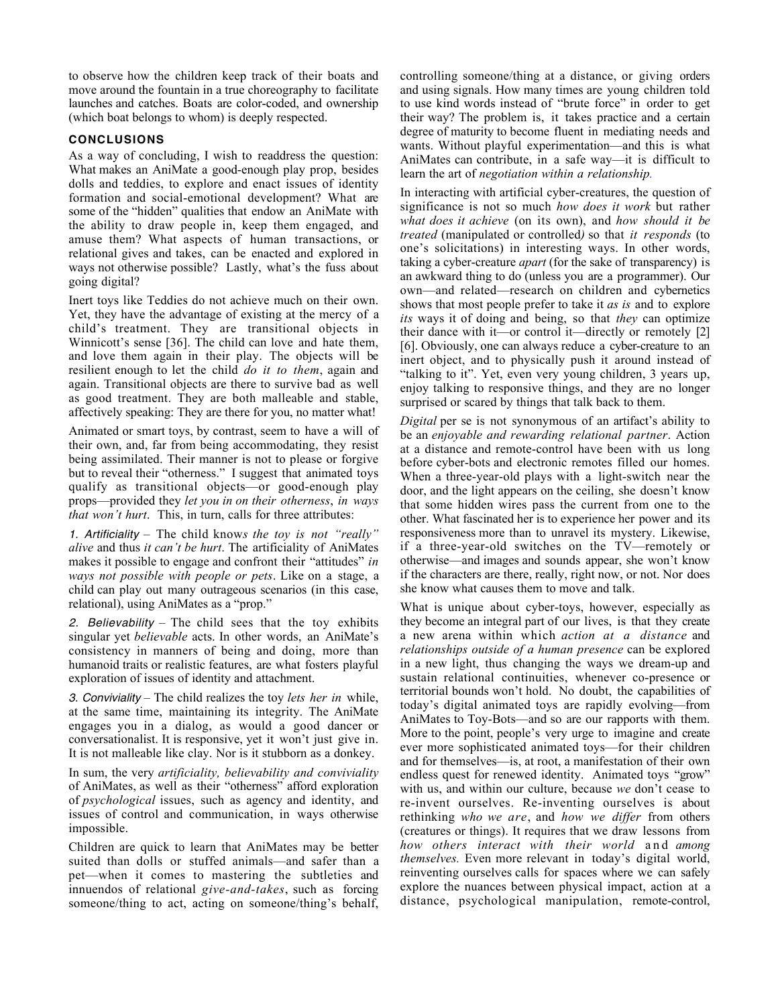to observe how the children keep track of their boats and move around the fountain in a true choreography to facilitate launches and catches. Boats are color-coded, and ownership (which boat belongs to whom) is deeply respected.

## **CONCLUSIONS**

As a way of concluding, I wish to readdress the question: What makes an AniMate a good-enough play prop, besides dolls and teddies, to explore and enact issues of identity formation and social-emotional development? What are some of the "hidden" qualities that endow an AniMate with the ability to draw people in, keep them engaged, and amuse them? What aspects of human transactions, or relational gives and takes, can be enacted and explored in ways not otherwise possible? Lastly, what's the fuss about going digital?

Inert toys like Teddies do not achieve much on their own. Yet, they have the advantage of existing at the mercy of a child's treatment. They are transitional objects in Winnicott's sense [36]. The child can love and hate them, and love them again in their play. The objects will be resilient enough to let the child *do it to them*, again and again. Transitional objects are there to survive bad as well as good treatment. They are both malleable and stable, affectively speaking: They are there for you, no matter what!

Animated or smart toys, by contrast, seem to have a will of their own, and, far from being accommodating, they resist being assimilated. Their manner is not to please or forgive but to reveal their "otherness." I suggest that animated toys qualify as transitional objects—or good-enough play props—provided they *let you in on their otherness*, *in ways that won't hurt*. This, in turn, calls for three attributes:

1. Artificiality – The child know*s the toy is not "really" alive* and thus *it can't be hurt*. The artificiality of AniMates makes it possible to engage and confront their "attitudes" *in ways not possible with people or pets*. Like on a stage, a child can play out many outrageous scenarios (in this case, relational), using AniMates as a "prop."

2. Believability – The child sees that the toy exhibits singular yet *believable* acts. In other words, an AniMate's consistency in manners of being and doing, more than humanoid traits or realistic features, are what fosters playful exploration of issues of identity and attachment.

3. Conviviality – The child realizes the toy *lets her in* while, at the same time, maintaining its integrity. The AniMate engages you in a dialog, as would a good dancer or conversationalist. It is responsive, yet it won't just give in. It is not malleable like clay. Nor is it stubborn as a donkey.

In sum, the very *artificiality, believability and conviviality* of AniMates, as well as their "otherness" afford exploration of *psychological* issues, such as agency and identity, and issues of control and communication, in ways otherwise impossible.

Children are quick to learn that AniMates may be better suited than dolls or stuffed animals—and safer than a pet—when it comes to mastering the subtleties and innuendos of relational *give-and-takes*, such as forcing someone/thing to act, acting on someone/thing's behalf, controlling someone/thing at a distance, or giving orders and using signals. How many times are young children told to use kind words instead of "brute force" in order to get their way? The problem is, it takes practice and a certain degree of maturity to become fluent in mediating needs and wants. Without playful experimentation—and this is what AniMates can contribute, in a safe way—it is difficult to learn the art of *negotiation within a relationship.*

In interacting with artificial cyber-creatures, the question of significance is not so much *how does it work* but rather *what does it achieve* (on its own), and *how should it be treated* (manipulated or controlled*)* so that *it responds* (to one's solicitations) in interesting ways. In other words, taking a cyber-creature *apart* (for the sake of transparency) is an awkward thing to do (unless you are a programmer). Our own—and related—research on children and cybernetics shows that most people prefer to take it *as is* and to explore *its* ways it of doing and being, so that *they* can optimize their dance with it—or control it—directly or remotely [2] [6]. Obviously, one can always reduce a cyber-creature to an inert object, and to physically push it around instead of "talking to it". Yet, even very young children, 3 years up, enjoy talking to responsive things, and they are no longer surprised or scared by things that talk back to them.

*Digital* per se is not synonymous of an artifact's ability to be an *enjoyable and rewarding relational partner*. Action at a distance and remote-control have been with us long before cyber-bots and electronic remotes filled our homes. When a three-year-old plays with a light-switch near the door, and the light appears on the ceiling, she doesn't know that some hidden wires pass the current from one to the other. What fascinated her is to experience her power and its responsiveness more than to unravel its mystery. Likewise, if a three-year-old switches on the TV—remotely or otherwise—and images and sounds appear, she won't know if the characters are there, really, right now, or not. Nor does she know what causes them to move and talk.

What is unique about cyber-toys, however, especially as they become an integral part of our lives, is that they create a new arena within which *action at a distance* and *relationships outside of a human presence* can be explored in a new light, thus changing the ways we dream-up and sustain relational continuities, whenever co-presence or territorial bounds won't hold. No doubt, the capabilities of today's digital animated toys are rapidly evolving—from AniMates to Toy-Bots—and so are our rapports with them. More to the point, people's very urge to imagine and create ever more sophisticated animated toys—for their children and for themselves—is, at root, a manifestation of their own endless quest for renewed identity. Animated toys "grow" with us, and within our culture, because *we* don't cease to re-invent ourselves. Re-inventing ourselves is about rethinking *who we are*, and *how we differ* from others (creatures or things). It requires that we draw lessons from *how others interact with their world* and *among themselves.* Even more relevant in today's digital world, reinventing ourselves calls for spaces where we can safely explore the nuances between physical impact, action at a distance, psychological manipulation, remote-control,